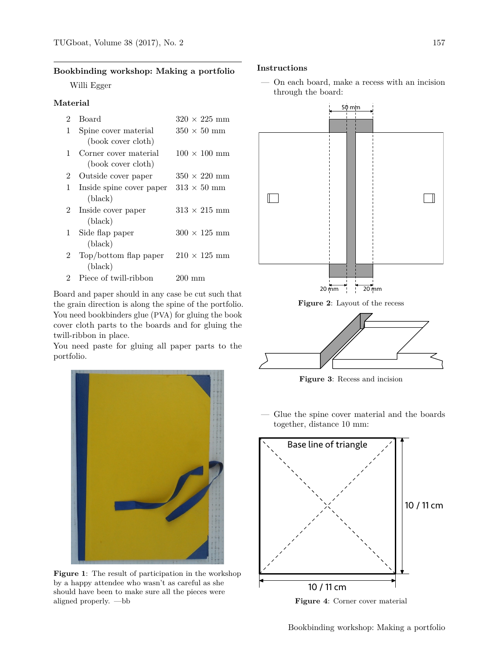## **Bookbinding workshop: Making a portfolio**

Willi Egger

## **Material**

| 2 | <b>Board</b>             | $320 \times 225$ mm   |
|---|--------------------------|-----------------------|
| 1 | Spine cover material     | $350 \times 50$ mm    |
|   | (book cover cloth)       |                       |
| 1 | Corner cover material    | $100 \times 100$ mm   |
|   | (book cover cloth)       |                       |
| 2 | Outside cover paper      | $350\,\times\,220$ mm |
| 1 | Inside spine cover paper | $313 \times 50$ mm    |
|   | (black)                  |                       |
| 2 | Inside cover paper       | $313 \times 215$ mm   |
|   | (black)                  |                       |
| 1 | Side flap paper          | $300 \times 125$ mm   |
|   | (black)                  |                       |
| 2 | Top/bottom flap paper    | $210 \times 125$ mm   |
|   | (black)                  |                       |
| 2 | Piece of twill-ribbon    | 20<br>mm              |
|   |                          |                       |

Board and paper should in any case be cut such that the grain direction is along the spine of the portfolio. You need bookbinders glue (PVA) for gluing the book cover cloth parts to the boards and for gluing the twill-ribbon in place.

You need paste for gluing all paper parts to the portfolio.



**Figure 1**: The result of participation in the workshop by a happy attendee who wasn't as careful as she should have been to make sure all the pieces were aligned properly. —bb

## **Instructions**

— On each board, make a recess with an incision through the board:





**Figure 3**: Recess and incision

— Glue the spine cover material and the boards together, distance 10 mm:



**Figure 4**: Corner cover material